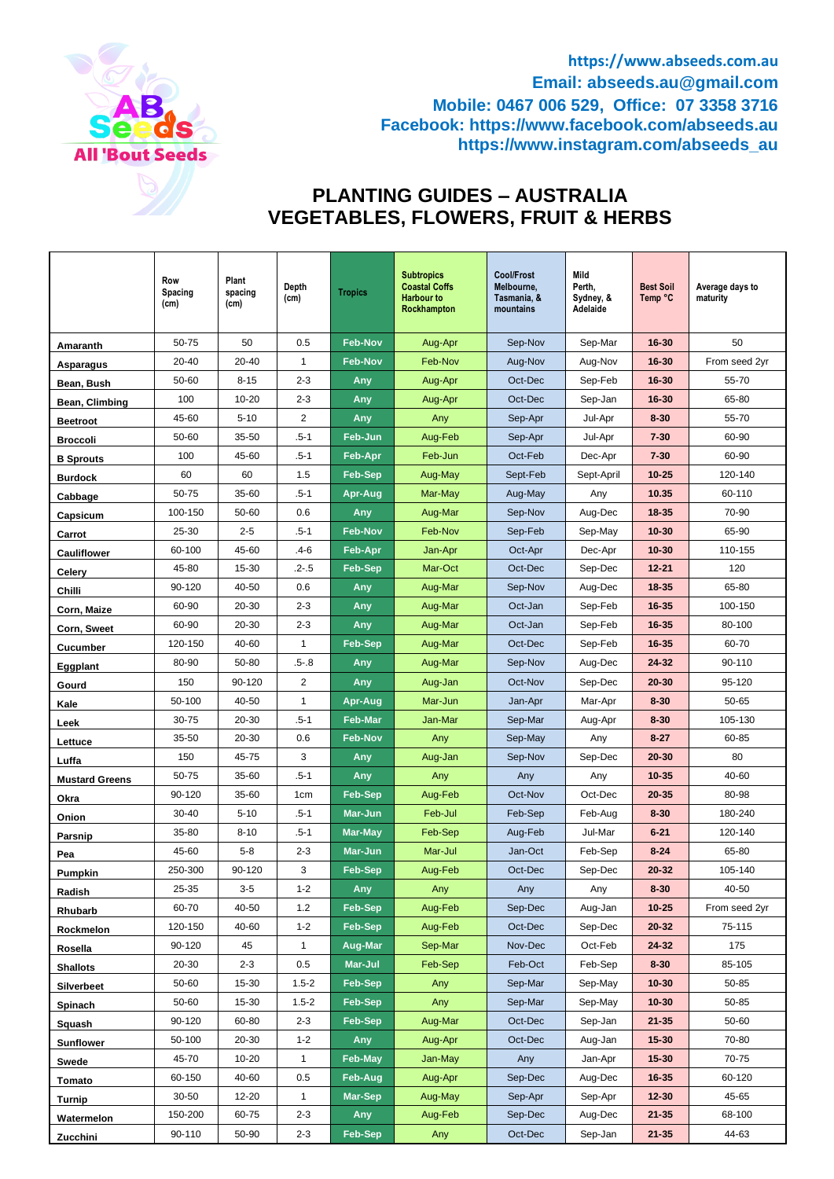

**https://www.abseeds.com.au Email: abseeds.au@gmail.com Mobile: 0467 006 529, Office: 07 3358 3716 Facebook: https://www.facebook.com/abseeds.au https://www.instagram.com/abseeds\_au**

# **PLANTING GUIDES – AUSTRALIA VEGETABLES, FLOWERS, FRUIT & HERBS**

|                       | Row<br>Spacing<br>(cm) | Plant<br>spacing<br>(cm) | Depth<br>(cm)   | <b>Tropics</b> | <b>Subtropics</b><br><b>Coastal Coffs</b><br><b>Harbour to</b><br>Rockhampton | <b>Cool/Frost</b><br>Melbourne,<br>Tasmania, &<br>mountains | Mild<br>Perth,<br>Sydney, &<br>Adelaide | <b>Best Soil</b><br>Temp °C | Average days to<br>maturity |
|-----------------------|------------------------|--------------------------|-----------------|----------------|-------------------------------------------------------------------------------|-------------------------------------------------------------|-----------------------------------------|-----------------------------|-----------------------------|
| Amaranth              | 50-75                  | 50                       | 0.5             | <b>Feb-Nov</b> | Aug-Apr                                                                       | Sep-Nov                                                     | Sep-Mar                                 | $16 - 30$                   | 50                          |
| Asparagus             | 20-40                  | 20-40                    | 1               | <b>Feb-Nov</b> | Feb-Nov                                                                       | Aug-Nov                                                     | Aug-Nov                                 | 16-30                       | From seed 2yr               |
| Bean, Bush            | 50-60                  | $8 - 15$                 | $2 - 3$         | Any            | Aug-Apr                                                                       | Oct-Dec                                                     | Sep-Feb                                 | $16 - 30$                   | 55-70                       |
| Bean, Climbing        | 100                    | $10 - 20$                | $2 - 3$         | Any            | Aug-Apr                                                                       | Oct-Dec                                                     | Sep-Jan                                 | 16-30                       | 65-80                       |
| <b>Beetroot</b>       | 45-60                  | $5 - 10$                 | 2               | Any            | Any                                                                           | Sep-Apr                                                     | Jul-Apr                                 | $8 - 30$                    | 55-70                       |
| <b>Broccoli</b>       | 50-60                  | 35-50                    | $.5 - 1$        | Feb-Jun        | Aug-Feb                                                                       | Sep-Apr                                                     | Jul-Apr                                 | $7 - 30$                    | 60-90                       |
| <b>B</b> Sprouts      | 100                    | 45-60                    | $.5 - 1$        | Feb-Apr        | Feb-Jun                                                                       | Oct-Feb                                                     | Dec-Apr                                 | $7 - 30$                    | 60-90                       |
| <b>Burdock</b>        | 60                     | 60                       | 1.5             | <b>Feb-Sep</b> | Aug-May                                                                       | Sept-Feb                                                    | Sept-April                              | $10 - 25$                   | 120-140                     |
| Cabbage               | 50-75                  | 35-60                    | $.5 - 1$        | Apr-Aug        | Mar-May                                                                       | Aug-May                                                     | Any                                     | 10.35                       | 60-110                      |
| Capsicum              | 100-150                | 50-60                    | 0.6             | Any            | Aug-Mar                                                                       | Sep-Nov                                                     | Aug-Dec                                 | $18 - 35$                   | 70-90                       |
| Carrot                | 25-30                  | $2 - 5$                  | $.5 - 1$        | <b>Feb-Nov</b> | Feb-Nov                                                                       | Sep-Feb                                                     | Sep-May                                 | 10-30                       | 65-90                       |
| <b>Cauliflower</b>    | 60-100                 | 45-60                    | .4-6            | Feb-Apr        | Jan-Apr                                                                       | Oct-Apr                                                     | Dec-Apr                                 | $10 - 30$                   | 110-155                     |
| Celery                | 45-80                  | 15-30                    | $.2 - .5$       | Feb-Sep        | Mar-Oct                                                                       | Oct-Dec                                                     | Sep-Dec                                 | $12 - 21$                   | 120                         |
| Chilli                | 90-120                 | 40-50                    | 0.6             | Any            | Aug-Mar                                                                       | Sep-Nov                                                     | Aug-Dec                                 | 18-35                       | 65-80                       |
| Corn, Maize           | 60-90                  | 20-30                    | $2 - 3$         | Any            | Aug-Mar                                                                       | Oct-Jan                                                     | Sep-Feb                                 | $16 - 35$                   | 100-150                     |
| Corn, Sweet           | 60-90                  | 20-30                    | $2 - 3$         | Any            | Aug-Mar                                                                       | Oct-Jan                                                     | Sep-Feb                                 | $16 - 35$                   | 80-100                      |
| <b>Cucumber</b>       | 120-150                | 40-60                    | 1               | <b>Feb-Sep</b> | Aug-Mar                                                                       | Oct-Dec                                                     | Sep-Feb                                 | $16 - 35$                   | 60-70                       |
| Eggplant              | 80-90                  | 50-80                    | $.5 - 8$        | Any            | Aug-Mar                                                                       | Sep-Nov                                                     | Aug-Dec                                 | $24 - 32$                   | 90-110                      |
| Gourd                 | 150                    | 90-120                   | 2               | Any            | Aug-Jan                                                                       | Oct-Nov                                                     | Sep-Dec                                 | 20-30                       | 95-120                      |
| Kale                  | 50-100                 | 40-50                    | 1               | Apr-Aug        | Mar-Jun                                                                       | Jan-Apr                                                     | Mar-Apr                                 | $8 - 30$                    | 50-65                       |
| Leek                  | 30-75                  | 20-30                    | $.5 - 1$        | <b>Feb-Mar</b> | Jan-Mar                                                                       | Sep-Mar                                                     | Aug-Apr                                 | $8 - 30$                    | 105-130                     |
| Lettuce               | 35-50                  | 20-30                    | 0.6             | <b>Feb-Nov</b> | Any                                                                           | Sep-May                                                     | Any                                     | $8 - 27$                    | 60-85                       |
| Luffa                 | 150                    | 45-75                    | 3               | Any            | Aug-Jan                                                                       | Sep-Nov                                                     | Sep-Dec                                 | 20-30                       | 80                          |
| <b>Mustard Greens</b> | 50-75                  | 35-60                    | $.5 - 1$        | Any            | Any                                                                           | Any                                                         | Any                                     | $10 - 35$                   | 40-60                       |
| Okra                  | 90-120                 | 35-60                    | 1 <sub>cm</sub> | <b>Feb-Sep</b> | Aug-Feb                                                                       | Oct-Nov                                                     | Oct-Dec                                 | 20-35                       | 80-98                       |
| Onion                 | $30 - 40$              | $5 - 10$                 | $.5 - 1$        | Mar-Jun        | Feb-Jul                                                                       | Feb-Sep                                                     | Feb-Aug                                 | $8 - 30$                    | 180-240                     |
| Parsnip               | 35-80                  | $8 - 10$                 | $.5 - 1$        | Mar-May        | Feb-Sep                                                                       | Aug-Feb                                                     | Jul-Mar                                 | $6 - 21$                    | 120-140                     |
| Pea                   | 45-60                  | $5 - 8$                  | $2 - 3$         | Mar-Jun        | Mar-Jul                                                                       | Jan-Oct                                                     | Feb-Sep                                 | $8 - 24$                    | 65-80                       |
| Pumpkin               | 250-300                | 90-120                   | 3               | <b>Feb-Sep</b> | Aug-Feb                                                                       | Oct-Dec                                                     | Sep-Dec                                 | 20-32                       | 105-140                     |
| Radish                | 25-35                  | $3 - 5$                  | $1 - 2$         | Any            | Any                                                                           | Any                                                         | Any                                     | $8 - 30$                    | 40-50                       |
| Rhubarb               | 60-70                  | 40-50                    | 1.2             | Feb-Sep        | Aug-Feb                                                                       | Sep-Dec                                                     | Aug-Jan                                 | $10 - 25$                   | From seed 2yr               |
| Rockmelon             | 120-150                | 40-60                    | $1 - 2$         | Feb-Sep        | Aug-Feb                                                                       | Oct-Dec                                                     | Sep-Dec                                 | $20 - 32$                   | 75-115                      |
| Rosella               | 90-120                 | 45                       | $\mathbf{1}$    | Aug-Mar        | Sep-Mar                                                                       | Nov-Dec                                                     | Oct-Feb                                 | $24 - 32$                   | 175                         |
| <b>Shallots</b>       | 20-30                  | $2 - 3$                  | 0.5             | Mar-Jul        | Feb-Sep                                                                       | Feb-Oct                                                     | Feb-Sep                                 | $8 - 30$                    | 85-105                      |
| Silverbeet            | 50-60                  | 15-30                    | $1.5 - 2$       | Feb-Sep        | Any                                                                           | Sep-Mar                                                     | Sep-May                                 | $10 - 30$                   | 50-85                       |
| Spinach               | 50-60                  | 15-30                    | $1.5 - 2$       | Feb-Sep        | Any                                                                           | Sep-Mar                                                     | Sep-May                                 | $10 - 30$                   | 50-85                       |
| Squash                | 90-120                 | 60-80                    | $2 - 3$         | Feb-Sep        | Aug-Mar                                                                       | Oct-Dec                                                     | Sep-Jan                                 | $21 - 35$                   | 50-60                       |
| <b>Sunflower</b>      | 50-100                 | 20-30                    | $1 - 2$         | Any            | Aug-Apr                                                                       | Oct-Dec                                                     | Aug-Jan                                 | $15 - 30$                   | 70-80                       |
| Swede                 | 45-70                  | $10 - 20$                | $\mathbf{1}$    | Feb-May        | Jan-May                                                                       | Any                                                         | Jan-Apr                                 | $15 - 30$                   | 70-75                       |
| Tomato                | 60-150                 | 40-60                    | 0.5             | Feb-Aug        | Aug-Apr                                                                       | Sep-Dec                                                     | Aug-Dec                                 | $16 - 35$                   | 60-120                      |
| Turnip                | $30 - 50$              | 12-20                    | $\mathbf{1}$    | Mar-Sep        | Aug-May                                                                       | Sep-Apr                                                     | Sep-Apr                                 | $12 - 30$                   | 45-65                       |
| Watermelon            | 150-200                | 60-75                    | $2 - 3$         | Any            | Aug-Feb                                                                       | Sep-Dec                                                     | Aug-Dec                                 | $21 - 35$                   | 68-100                      |
| Zucchini              | 90-110                 | 50-90                    | $2 - 3$         | Feb-Sep        | Any                                                                           | Oct-Dec                                                     | Sep-Jan                                 | $21 - 35$                   | 44-63                       |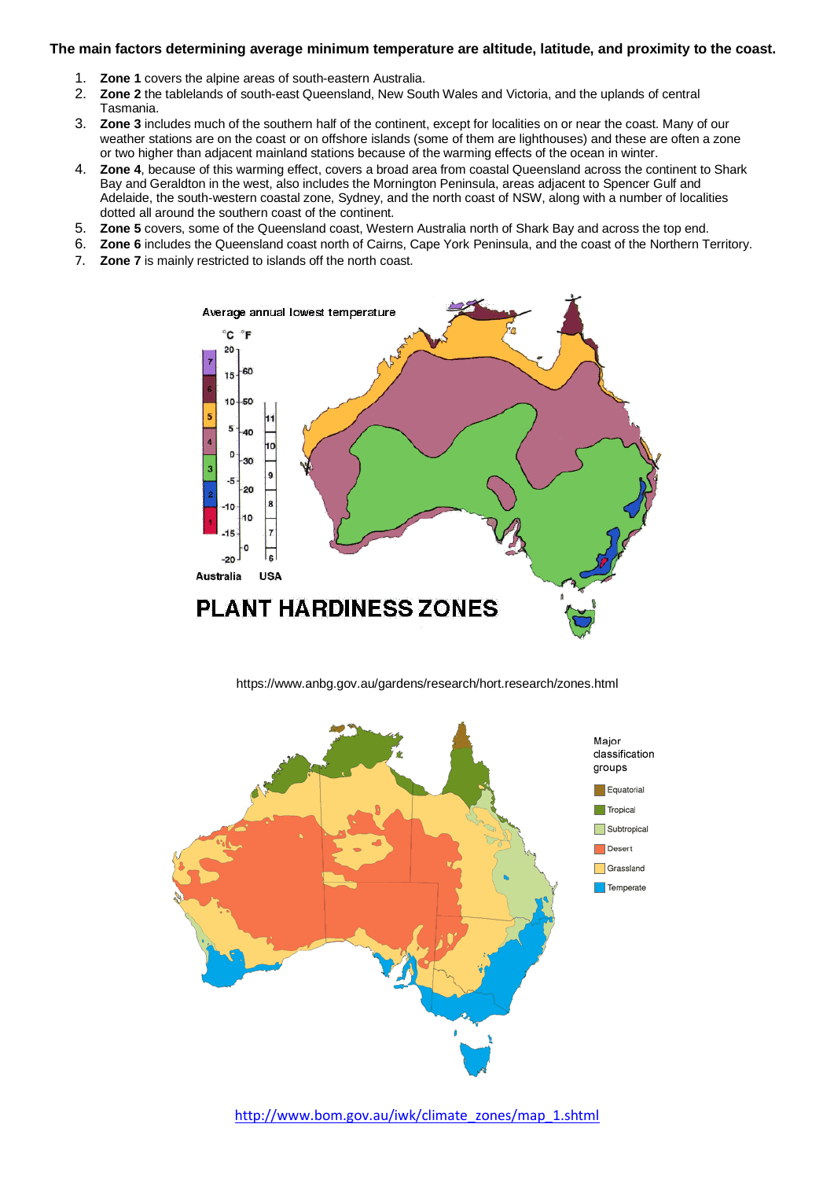#### **The main factors determining average minimum temperature are altitude, latitude, and proximity to the coast.**

- 1. **Zone 1** covers the alpine areas of south-eastern Australia.
- 2. **Zone 2** the tablelands of south-east Queensland, New South Wales and Victoria, and the uplands of central Tasmania.
- 3. **Zone 3** includes much of the southern half of the continent, except for localities on or near the coast. Many of our weather stations are on the coast or on offshore islands (some of them are lighthouses) and these are often a zone or two higher than adjacent mainland stations because of the warming effects of the ocean in winter.
- 4. **Zone 4**, because of this warming effect, covers a broad area from coastal Queensland across the continent to Shark Bay and Geraldton in the west, also includes the Mornington Peninsula, areas adjacent to Spencer Gulf and Adelaide, the south-western coastal zone, Sydney, and the north coast of NSW, along with a number of localities dotted all around the southern coast of the continent.
- 5. **Zone 5** covers, some of the Queensland coast, Western Australia north of Shark Bay and across the top end.
- 6. **Zone 6** includes the Queensland coast north of Cairns, Cape York Peninsula, and the coast of the Northern Territory.
- 7. **Zone 7** is mainly restricted to islands off the north coast.



https://www.anbg.gov.au/gardens/research/hort.research/zones.html

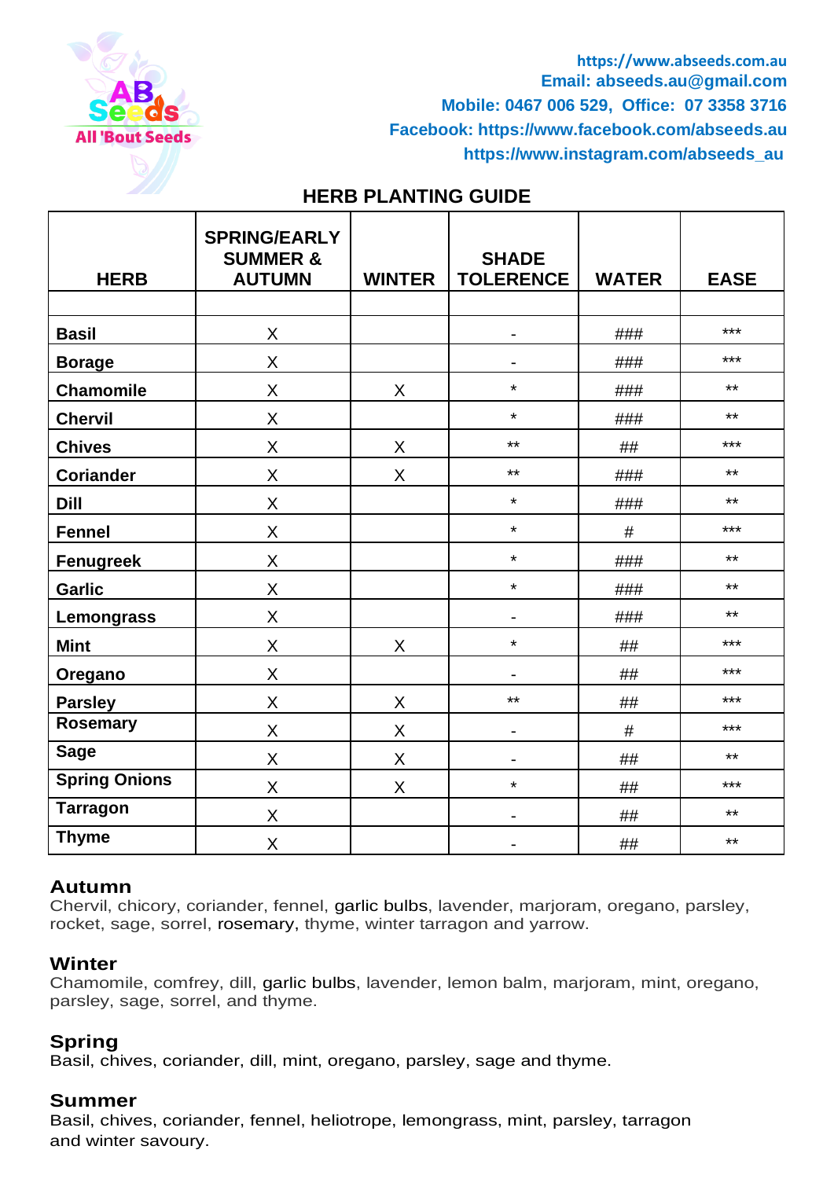

**https://www.abseeds.com.au Email: abseeds.au@gmail.com Mobile: 0467 006 529, Office: 07 3358 3716 Facebook: https://www.facebook.com/abseeds.au [https://www.instagram.com/abseeds\\_au](https://www.instagram.com/abseeds_au)** 

# **HERB PLANTING GUIDE**

| <b>HERB</b>          | <b>SPRING/EARLY</b><br><b>SUMMER &amp;</b><br><b>AUTUMN</b> | <b>WINTER</b> | <b>SHADE</b><br><b>TOLERENCE</b> | <b>WATER</b> | <b>EASE</b> |
|----------------------|-------------------------------------------------------------|---------------|----------------------------------|--------------|-------------|
|                      |                                                             |               |                                  |              |             |
| <b>Basil</b>         | $\sf X$                                                     |               |                                  | ###          | $***$       |
| <b>Borage</b>        | X                                                           |               | $\blacksquare$                   | ###          | $***$       |
| <b>Chamomile</b>     | X                                                           | X             | $\star$                          | ###          | $***$       |
| <b>Chervil</b>       | X                                                           |               | $\star$                          | ###          | $***$       |
| <b>Chives</b>        | X                                                           | X             | $***$                            | ##           | $***$       |
| <b>Coriander</b>     | X                                                           | X             | $***$                            | ###          | $***$       |
| <b>Dill</b>          | X                                                           |               | $\star$                          | ###          | $***$       |
| <b>Fennel</b>        | X                                                           |               | $\star$                          | #            | $***$       |
| <b>Fenugreek</b>     | $\sf X$                                                     |               | $\star$                          | ###          | $***$       |
| <b>Garlic</b>        | X                                                           |               | $\star$                          | ###          | $***$       |
| Lemongrass           | X                                                           |               |                                  | ###          | $***$       |
| <b>Mint</b>          | X                                                           | X             | $\star$                          | ##           | ***         |
| Oregano              | X                                                           |               |                                  | ##           | $***$       |
| <b>Parsley</b>       | X                                                           | X             | $***$                            | ##           | ***         |
| <b>Rosemary</b>      | $\sf X$                                                     | X             | -                                | $\#$         | $***$       |
| <b>Sage</b>          | X                                                           | X             |                                  | ##           | $***$       |
| <b>Spring Onions</b> | X                                                           | X             | $\star$                          | ##           | ***         |
| <b>Tarragon</b>      | X                                                           |               | -                                | ##           | $***$       |
| <b>Thyme</b>         | X                                                           |               | $\overline{\phantom{a}}$         | ##           | $***$       |

## **Autumn**

Chervil, chicory, coriander, fennel, garlic bulbs, lavender, marjoram, oregano, parsley, rocket, sage, sorrel, rosemary, thyme, winter tarragon and yarrow.

## **Winter**

Chamomile, comfrey, dill, garlic bulbs, lavender, lemon balm, marjoram, mint, oregano, parsley, sage, sorrel, and thyme.

## **Spring**

Basil, chives, coriander, dill, mint, oregano, parsley, sage and thyme.

## **Summer**

Basil, chives, coriander, fennel, heliotrope, lemongrass, mint, parsley, tarragon and winter savoury.